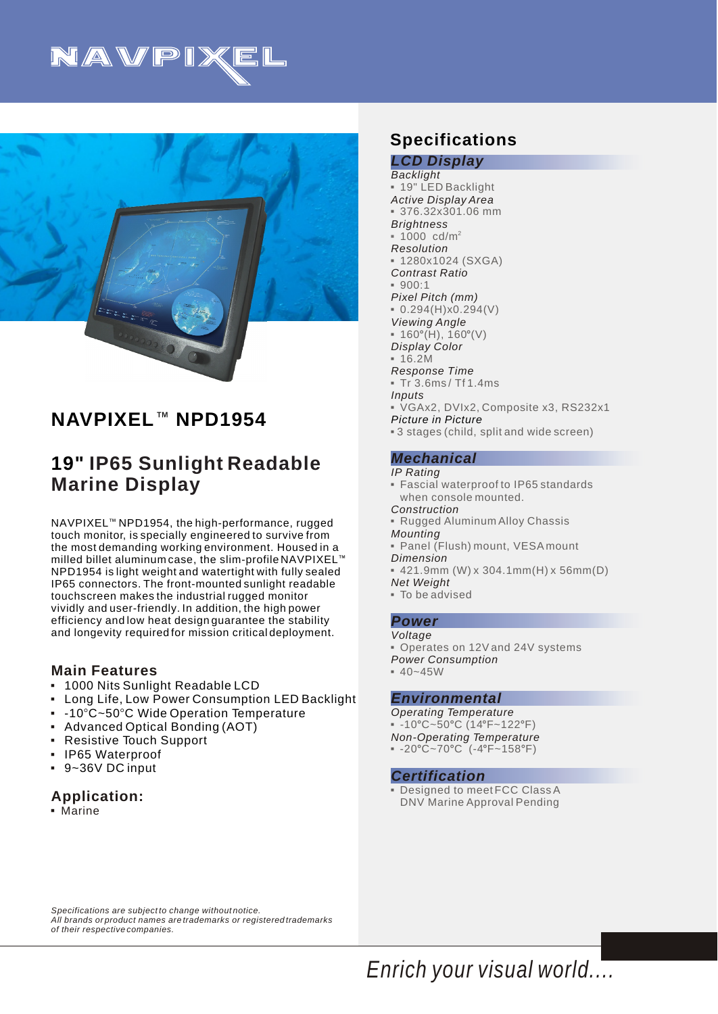



# **NAVPIXEL<sup>™</sup> NPD1954**

# **19" IP65 Sunlight Readable Marine Display**

NAVPIXEL<sup>™</sup> NPD1954, the high-performance, rugged touch monitor, is specially engineered to survive from the most demanding working environment. Housed in a milled billet aluminum case, the slim-profile NAVPIXEL $^{\scriptscriptstyle\rm I\hspace{-1pt}I\hspace{-1pt}I}$ NPD1954 is light weight and watertight with fully sealed IP65 connectors. The front-mounted sunlight readable touchscreen makes the industrial rugged monitor vividly and user-friendly. In addition, the high power efficiency and low heat design guarantee the stability and longevity required for mission critical deployment.

### **Main Features**

- 1000 Nits Sunlight Readable LCD 3
- Long Life, Low Power Consumption LED Backlight 3
- $\,$  -10°C~50°C Wide Operation Temperature
- Advanced Optical Bonding (AOT) 3
- Resistive Touch Support 3
- IP65 Waterproof 3
- 9~36V DC input 3

## **Application:**

**• Marine** 

## **Specifications**

*Picture in Picture LCD Display Backlight Active Display Area Brightness Resolution Contrast Ratio Pixel Pitch (mm) Viewing Angle Display Color Response Time Inputs* 3 19" LED Backlight 3 376.32x301.06 mm 2 1000 cd/m 3  $-1280x1024$  (SXGA)  $900:1$  $\bullet$  0.294(H)x0.294(V)  $\bullet$  160°(H), 160°(V)  $-16.2M$ 3 Tr 3.6ms / Tf 1.4ms 3VGAx2, DVIx2, Composite x3, RS232x1 3 3 stages (child, split and wide screen)

#### *Mechanical*

*IP Rating*

- 3Fascial waterproof to IP65 standards when console mounted.
- *Construction*
- *Mounting* **Rugged Aluminum Alloy Chassis**
- *Dimension*  3Panel (Flush) mount, VESA mount
- *Net Weight*  $\bullet$  421.9mm (W) x 304.1mm(H) x 56mm(D)
- 3To be advised

#### *Power*

- *Voltage*
- Operates on 12V and 24V systems
- *Power Consumption*
- $= 40 45W$

#### *Environmental*

*Operating Temperature*   $-10^{\circ}$ C~50°C (14°F~122°F)

- *Non-Operating Temperature*
- $= -20^{\circ}C 70^{\circ}C$  (-4°F~158°F)

#### *Certification*

**• Designed to meet FCC Class A** DNV Marine Approval Pending

*Specifications are subject to change without notice. All brands or product names are trademarks or registered trademarks of their respective companies.*

*Enrich your visual world....*